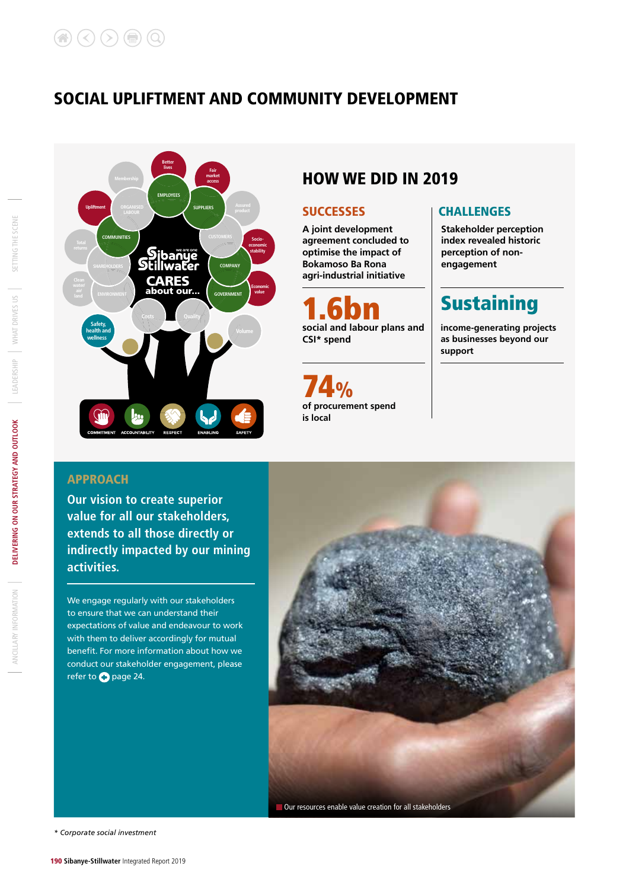### SOCIAL UPLIFTMENT AND COMMUNITY DEVELOPMENT



### HOW WE DID IN 2019

**A joint development agreement concluded to optimise the impact of Bokamoso Ba Rona agri-industrial initiative**

**1.6bn**<br>social and labour plans and **CSI\* spend**

**74.0%**<br>of procurement spend **is local**

#### SUCCESSES | CHALLENGES

**Stakeholder perception index revealed historic perception of nonengagement**

## **Sustaining**

**income-generating projects as businesses beyond our support** 

### APPROACH

**Our vision to create superior value for all our stakeholders, extends to all those directly or indirectly impacted by our mining activities.**

We engage regularly with our stakeholders to ensure that we can understand their expectations of value and endeavour to work with them to deliver accordingly for mutual benefit. For more information about how we conduct our stakeholder engagement, please refer to **+** page 24.



*\* Corporate social investment*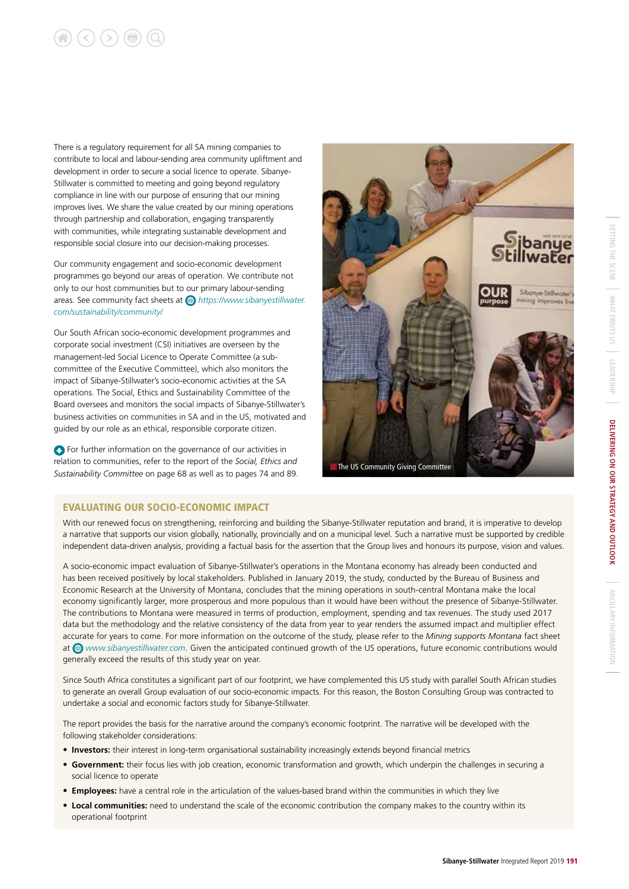# $\left(\langle\right)\left(\rangle\right)\left(\right)$   $\left(\mathbb{Q}\right)\left(\mathbb{Q}\right)$

There is a regulatory requirement for all SA mining companies to contribute to local and labour-sending area community upliftment and development in order to secure a social licence to operate. Sibanye-Stillwater is committed to meeting and going beyond regulatory compliance in line with our purpose of ensuring that our mining improves lives. We share the value created by our mining operations through partnership and collaboration, engaging transparently with communities, while integrating sustainable development and responsible social closure into our decision-making processes.

Our community engagement and socio-economic development programmes go beyond our areas of operation. We contribute not only to our host communities but to our primary labour-sending areas. See community fact sheets at *https://www.sibanyestillwater. com/sustainability/community/*

Our South African socio-economic development programmes and corporate social investment (CSI) initiatives are overseen by the management-led Social Licence to Operate Committee (a subcommittee of the Executive Committee), which also monitors the impact of Sibanye-Stillwater's socio-economic activities at the SA operations. The Social, Ethics and Sustainability Committee of the Board oversees and monitors the social impacts of Sibanye-Stillwater's business activities on communities in SA and in the US, motivated and guided by our role as an ethical, responsible corporate citizen.

**C** For further information on the governance of our activities in relation to communities, refer to the report of the *Social, Ethics and Sustainability Committee* on page 68 as well as to pages 74 and 89.



#### EVALUATING OUR SOCIO-ECONOMIC IMPACT

With our renewed focus on strengthening, reinforcing and building the Sibanye-Stillwater reputation and brand, it is imperative to develop a narrative that supports our vision globally, nationally, provincially and on a municipal level. Such a narrative must be supported by credible independent data-driven analysis, providing a factual basis for the assertion that the Group lives and honours its purpose, vision and values.

A socio-economic impact evaluation of Sibanye-Stillwater's operations in the Montana economy has already been conducted and has been received positively by local stakeholders. Published in January 2019, the study, conducted by the Bureau of Business and Economic Research at the University of Montana, concludes that the mining operations in south-central Montana make the local economy significantly larger, more prosperous and more populous than it would have been without the presence of Sibanye-Stillwater. The contributions to Montana were measured in terms of production, employment, spending and tax revenues. The study used 2017 data but the methodology and the relative consistency of the data from year to year renders the assumed impact and multiplier effect accurate for years to come. For more information on the outcome of the study, please refer to the *Mining supports Montana* fact sheet at *www.sibanyestillwater.com*. Given the anticipated continued growth of the US operations, future economic contributions would generally exceed the results of this study year on year.

Since South Africa constitutes a significant part of our footprint, we have complemented this US study with parallel South African studies to generate an overall Group evaluation of our socio-economic impacts. For this reason, the Boston Consulting Group was contracted to undertake a social and economic factors study for Sibanye-Stillwater.

The report provides the basis for the narrative around the company's economic footprint. The narrative will be developed with the following stakeholder considerations:

- **Investors:** their interest in long-term organisational sustainability increasingly extends beyond financial metrics
- **Government:** their focus lies with job creation, economic transformation and growth, which underpin the challenges in securing a social licence to operate
- **Employees:** have a central role in the articulation of the values-based brand within the communities in which they live
- **Local communities:** need to understand the scale of the economic contribution the company makes to the country within its operational footprint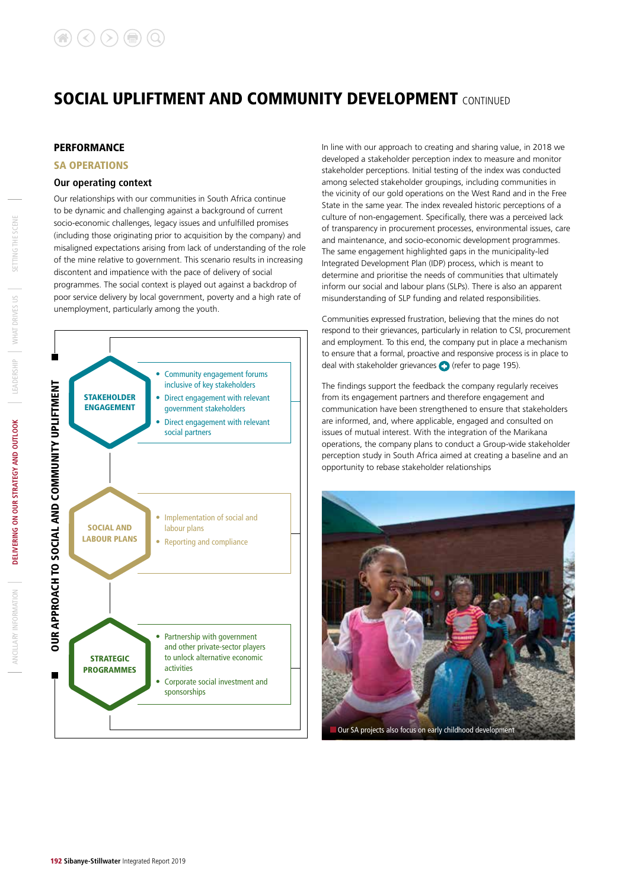#### **PERFORMANCE**

#### SA OPERATIONS

#### **Our operating context**

Our relationships with our communities in South Africa continue to be dynamic and challenging against a background of current socio-economic challenges, legacy issues and unfulfilled promises (including those originating prior to acquisition by the company) and misaligned expectations arising from lack of understanding of the role of the mine relative to government. This scenario results in increasing discontent and impatience with the pace of delivery of social programmes. The social context is played out against a backdrop of poor service delivery by local government, poverty and a high rate of unemployment, particularly among the youth.



In line with our approach to creating and sharing value, in 2018 we developed a stakeholder perception index to measure and monitor stakeholder perceptions. Initial testing of the index was conducted among selected stakeholder groupings, including communities in the vicinity of our gold operations on the West Rand and in the Free State in the same year. The index revealed historic perceptions of a culture of non-engagement. Specifically, there was a perceived lack of transparency in procurement processes, environmental issues, care and maintenance, and socio-economic development programmes. The same engagement highlighted gaps in the municipality-led Integrated Development Plan (IDP) process, which is meant to determine and prioritise the needs of communities that ultimately inform our social and labour plans (SLPs). There is also an apparent misunderstanding of SLP funding and related responsibilities.

Communities expressed frustration, believing that the mines do not respond to their grievances, particularly in relation to CSI, procurement and employment. To this end, the company put in place a mechanism to ensure that a formal, proactive and responsive process is in place to deal with stakeholder grievances  $\bigodot$  (refer to page 195).

The findings support the feedback the company regularly receives from its engagement partners and therefore engagement and communication have been strengthened to ensure that stakeholders are informed, and, where applicable, engaged and consulted on issues of mutual interest. With the integration of the Marikana operations, the company plans to conduct a Group-wide stakeholder perception study in South Africa aimed at creating a baseline and an opportunity to rebase stakeholder relationships



ANCILLARY INFORMATION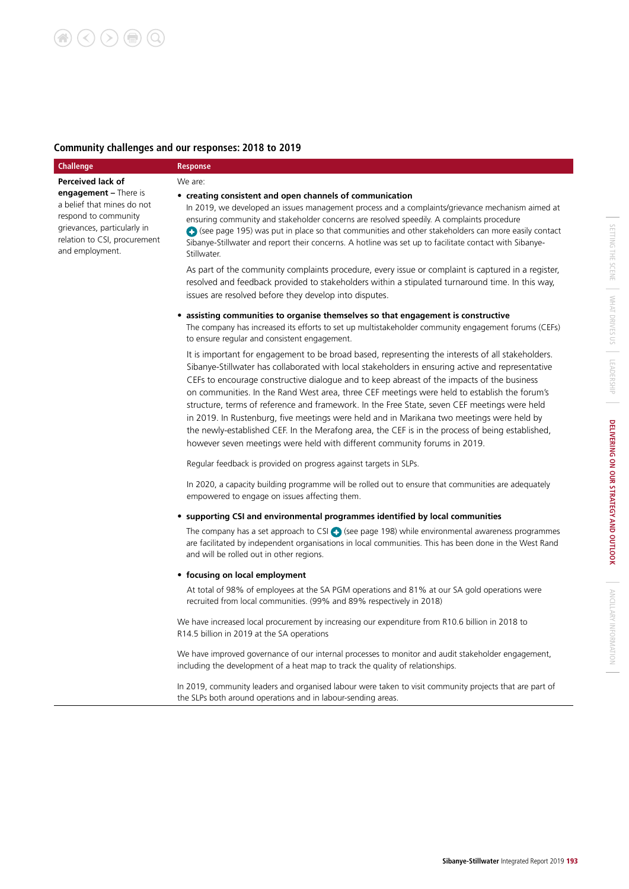### **Community challenges and our responses: 2018 to 2019**

| <b>Challenge</b>                                                                                                                                                       | <b>Response</b>                                                                                                                                                                                                                                                                                                                                                                                                                                                                                                                                                                                                                                                                                                                                                                    |
|------------------------------------------------------------------------------------------------------------------------------------------------------------------------|------------------------------------------------------------------------------------------------------------------------------------------------------------------------------------------------------------------------------------------------------------------------------------------------------------------------------------------------------------------------------------------------------------------------------------------------------------------------------------------------------------------------------------------------------------------------------------------------------------------------------------------------------------------------------------------------------------------------------------------------------------------------------------|
| <b>Perceived lack of</b>                                                                                                                                               | We are:                                                                                                                                                                                                                                                                                                                                                                                                                                                                                                                                                                                                                                                                                                                                                                            |
| <b>engagement</b> $-$ There is<br>a belief that mines do not<br>respond to community<br>grievances, particularly in<br>relation to CSI, procurement<br>and employment. | • creating consistent and open channels of communication<br>In 2019, we developed an issues management process and a complaints/grievance mechanism aimed at<br>ensuring community and stakeholder concerns are resolved speedily. A complaints procedure<br>$\bigoplus$ (see page 195) was put in place so that communities and other stakeholders can more easily contact<br>Sibanye-Stillwater and report their concerns. A hotline was set up to facilitate contact with Sibanye-<br>Stillwater.                                                                                                                                                                                                                                                                               |
|                                                                                                                                                                        | As part of the community complaints procedure, every issue or complaint is captured in a register,<br>resolved and feedback provided to stakeholders within a stipulated turnaround time. In this way,<br>issues are resolved before they develop into disputes.                                                                                                                                                                                                                                                                                                                                                                                                                                                                                                                   |
|                                                                                                                                                                        | assisting communities to organise themselves so that engagement is constructive<br>The company has increased its efforts to set up multistakeholder community engagement forums (CEFs)<br>to ensure regular and consistent engagement.                                                                                                                                                                                                                                                                                                                                                                                                                                                                                                                                             |
|                                                                                                                                                                        | It is important for engagement to be broad based, representing the interests of all stakeholders.<br>Sibanye-Stillwater has collaborated with local stakeholders in ensuring active and representative<br>CEFs to encourage constructive dialogue and to keep abreast of the impacts of the business<br>on communities. In the Rand West area, three CEF meetings were held to establish the forum's<br>structure, terms of reference and framework. In the Free State, seven CEF meetings were held<br>in 2019. In Rustenburg, five meetings were held and in Marikana two meetings were held by<br>the newly-established CEF. In the Merafong area, the CEF is in the process of being established,<br>however seven meetings were held with different community forums in 2019. |
|                                                                                                                                                                        | Regular feedback is provided on progress against targets in SLPs.                                                                                                                                                                                                                                                                                                                                                                                                                                                                                                                                                                                                                                                                                                                  |
|                                                                                                                                                                        | In 2020, a capacity building programme will be rolled out to ensure that communities are adequately<br>empowered to engage on issues affecting them.                                                                                                                                                                                                                                                                                                                                                                                                                                                                                                                                                                                                                               |
|                                                                                                                                                                        | • supporting CSI and environmental programmes identified by local communities                                                                                                                                                                                                                                                                                                                                                                                                                                                                                                                                                                                                                                                                                                      |
|                                                                                                                                                                        | The company has a set approach to CSI $\leftrightarrow$ (see page 198) while environmental awareness programmes<br>are facilitated by independent organisations in local communities. This has been done in the West Rand<br>and will be rolled out in other regions.                                                                                                                                                                                                                                                                                                                                                                                                                                                                                                              |
|                                                                                                                                                                        | • focusing on local employment                                                                                                                                                                                                                                                                                                                                                                                                                                                                                                                                                                                                                                                                                                                                                     |
|                                                                                                                                                                        | At total of 98% of employees at the SA PGM operations and 81% at our SA gold operations were<br>recruited from local communities. (99% and 89% respectively in 2018)                                                                                                                                                                                                                                                                                                                                                                                                                                                                                                                                                                                                               |
|                                                                                                                                                                        | We have increased local procurement by increasing our expenditure from R10.6 billion in 2018 to<br>R14.5 billion in 2019 at the SA operations                                                                                                                                                                                                                                                                                                                                                                                                                                                                                                                                                                                                                                      |
|                                                                                                                                                                        | We have improved governance of our internal processes to monitor and audit stakeholder engagement,<br>including the development of a heat map to track the quality of relationships.                                                                                                                                                                                                                                                                                                                                                                                                                                                                                                                                                                                               |
|                                                                                                                                                                        | In 2019, community leaders and organised labour were taken to visit community projects that are part of<br>the SLPs both around operations and in labour-sending areas.                                                                                                                                                                                                                                                                                                                                                                                                                                                                                                                                                                                                            |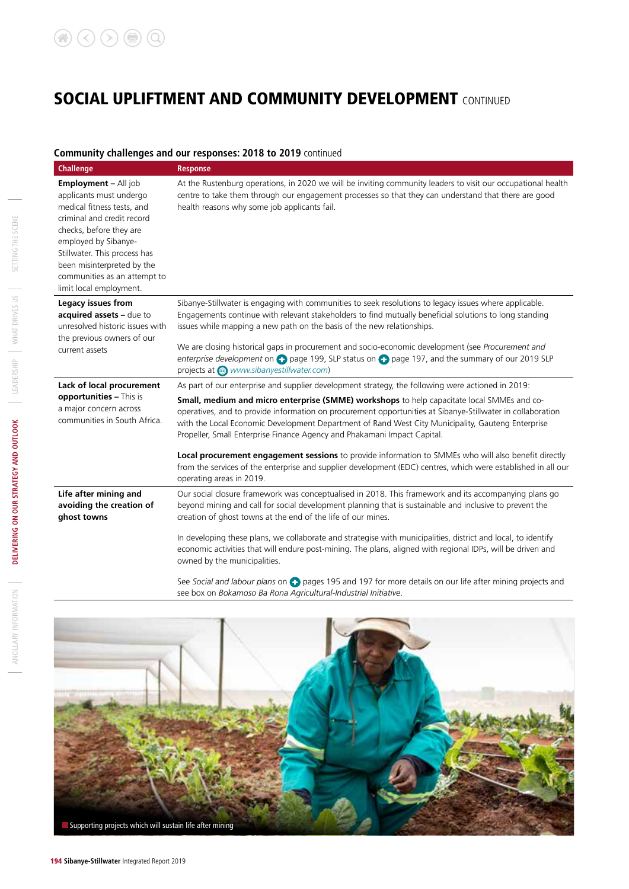#### **Community challenges and our responses: 2018 to 2019** continued

| <b>Challenge</b>                                                                                                                                                                                                                                                                        | <b>Response</b>                                                                                                                                                                                                                                                                                                                                                                           |
|-----------------------------------------------------------------------------------------------------------------------------------------------------------------------------------------------------------------------------------------------------------------------------------------|-------------------------------------------------------------------------------------------------------------------------------------------------------------------------------------------------------------------------------------------------------------------------------------------------------------------------------------------------------------------------------------------|
| Employment - All job<br>applicants must undergo<br>medical fitness tests, and<br>criminal and credit record<br>checks, before they are<br>employed by Sibanye-<br>Stillwater. This process has<br>been misinterpreted by the<br>communities as an attempt to<br>limit local employment. | At the Rustenburg operations, in 2020 we will be inviting community leaders to visit our occupational health<br>centre to take them through our engagement processes so that they can understand that there are good<br>health reasons why some job applicants fail.                                                                                                                      |
| Legacy issues from<br>acquired assets - due to<br>unresolved historic issues with<br>the previous owners of our                                                                                                                                                                         | Sibanye-Stillwater is engaging with communities to seek resolutions to legacy issues where applicable.<br>Engagements continue with relevant stakeholders to find mutually beneficial solutions to long standing<br>issues while mapping a new path on the basis of the new relationships.                                                                                                |
| current assets                                                                                                                                                                                                                                                                          | We are closing historical gaps in procurement and socio-economic development (see Procurement and<br>enterprise development on $\bigodot$ page 199, SLP status on $\bigodot$ page 197, and the summary of our 2019 SLP<br>projects at @ www.sibanyestillwater.com)                                                                                                                        |
| Lack of local procurement                                                                                                                                                                                                                                                               | As part of our enterprise and supplier development strategy, the following were actioned in 2019:                                                                                                                                                                                                                                                                                         |
| opportunities - This is<br>a major concern across<br>communities in South Africa.                                                                                                                                                                                                       | Small, medium and micro enterprise (SMME) workshops to help capacitate local SMMEs and co-<br>operatives, and to provide information on procurement opportunities at Sibanye-Stillwater in collaboration<br>with the Local Economic Development Department of Rand West City Municipality, Gauteng Enterprise<br>Propeller, Small Enterprise Finance Agency and Phakamani Impact Capital. |
|                                                                                                                                                                                                                                                                                         | Local procurement engagement sessions to provide information to SMMEs who will also benefit directly<br>from the services of the enterprise and supplier development (EDC) centres, which were established in all our<br>operating areas in 2019.                                                                                                                                         |
| Life after mining and<br>avoiding the creation of<br>ghost towns                                                                                                                                                                                                                        | Our social closure framework was conceptualised in 2018. This framework and its accompanying plans go<br>beyond mining and call for social development planning that is sustainable and inclusive to prevent the<br>creation of ghost towns at the end of the life of our mines.                                                                                                          |
|                                                                                                                                                                                                                                                                                         | In developing these plans, we collaborate and strategise with municipalities, district and local, to identify<br>economic activities that will endure post-mining. The plans, aligned with regional IDPs, will be driven and<br>owned by the municipalities.                                                                                                                              |
|                                                                                                                                                                                                                                                                                         | $\cdots$                                                                                                                                                                                                                                                                                                                                                                                  |

See Social and labour plans on **C** pages 195 and 197 for more details on our life after mining projects and see box on *Bokamoso Ba Rona Agricultural-Industrial Initiative*.

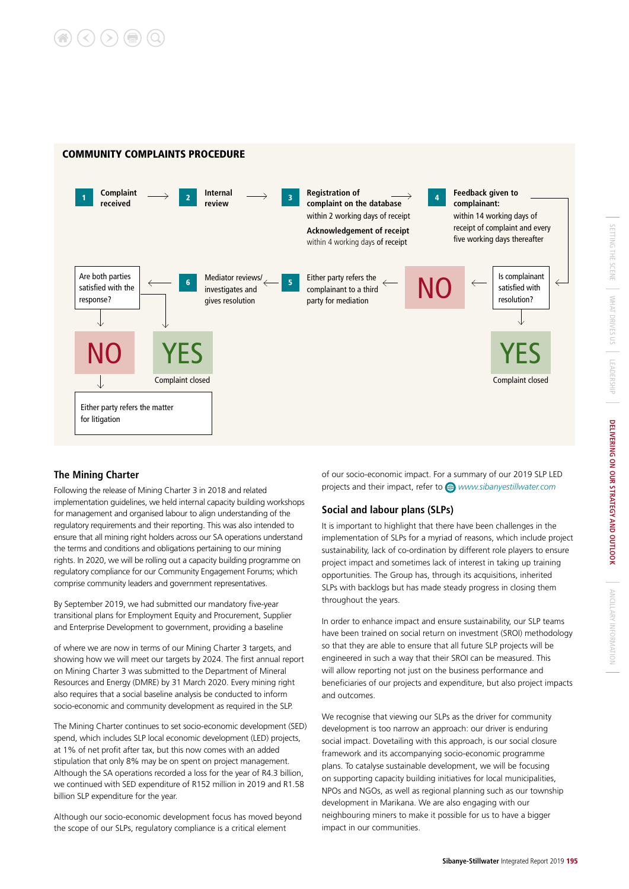

#### **The Mining Charter**

Following the release of Mining Charter 3 in 2018 and related implementation guidelines, we held internal capacity building workshops for management and organised labour to align understanding of the regulatory requirements and their reporting. This was also intended to ensure that all mining right holders across our SA operations understand the terms and conditions and obligations pertaining to our mining rights. In 2020, we will be rolling out a capacity building programme on regulatory compliance for our Community Engagement Forums; which comprise community leaders and government representatives.

By September 2019, we had submitted our mandatory five-year transitional plans for Employment Equity and Procurement, Supplier and Enterprise Development to government, providing a baseline

of where we are now in terms of our Mining Charter 3 targets, and showing how we will meet our targets by 2024. The first annual report on Mining Charter 3 was submitted to the Department of Mineral Resources and Energy (DMRE) by 31 March 2020. Every mining right also requires that a social baseline analysis be conducted to inform socio-economic and community development as required in the SLP.

The Mining Charter continues to set socio-economic development (SED) spend, which includes SLP local economic development (LED) projects, at 1% of net profit after tax, but this now comes with an added stipulation that only 8% may be on spent on project management. Although the SA operations recorded a loss for the year of R4.3 billion, we continued with SED expenditure of R152 million in 2019 and R1.58 billion SLP expenditure for the year.

Although our socio-economic development focus has moved beyond the scope of our SLPs, regulatory compliance is a critical element

of our socio-economic impact. For a summary of our 2019 SLP LED projects and their impact, refer to *www.sibanyestillwater.com* 

#### **Social and labour plans (SLPs)**

It is important to highlight that there have been challenges in the implementation of SLPs for a myriad of reasons, which include project sustainability, lack of co-ordination by different role players to ensure project impact and sometimes lack of interest in taking up training opportunities. The Group has, through its acquisitions, inherited SLPs with backlogs but has made steady progress in closing them throughout the years.

In order to enhance impact and ensure sustainability, our SLP teams have been trained on social return on investment (SROI) methodology so that they are able to ensure that all future SLP projects will be engineered in such a way that their SROI can be measured. This will allow reporting not just on the business performance and beneficiaries of our projects and expenditure, but also project impacts and outcomes.

We recognise that viewing our SLPs as the driver for community development is too narrow an approach: our driver is enduring social impact. Dovetailing with this approach, is our social closure framework and its accompanying socio-economic programme plans. To catalyse sustainable development, we will be focusing on supporting capacity building initiatives for local municipalities, NPOs and NGOs, as well as regional planning such as our township development in Marikana. We are also engaging with our neighbouring miners to make it possible for us to have a bigger impact in our communities.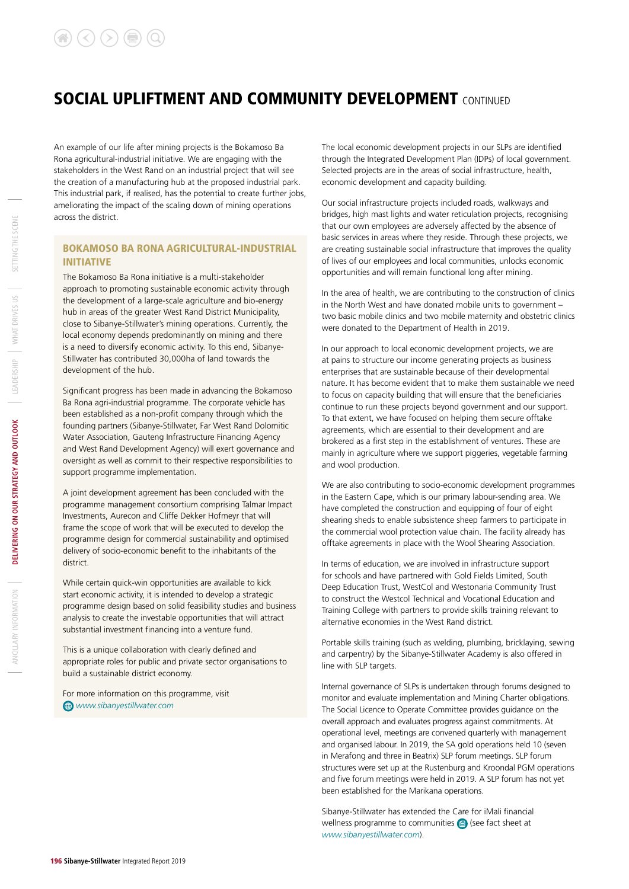An example of our life after mining projects is the Bokamoso Ba Rona agricultural-industrial initiative. We are engaging with the stakeholders in the West Rand on an industrial project that will see the creation of a manufacturing hub at the proposed industrial park. This industrial park, if realised, has the potential to create further jobs, ameliorating the impact of the scaling down of mining operations across the district.

#### BOKAMOSO BA RONA AGRICULTURAL-INDUSTRIAL INITIATIVE

The Bokamoso Ba Rona initiative is a multi-stakeholder approach to promoting sustainable economic activity through the development of a large-scale agriculture and bio-energy hub in areas of the greater West Rand District Municipality, close to Sibanye-Stillwater's mining operations. Currently, the local economy depends predominantly on mining and there is a need to diversify economic activity. To this end, Sibanye-Stillwater has contributed 30,000ha of land towards the development of the hub.

Significant progress has been made in advancing the Bokamoso Ba Rona agri-industrial programme. The corporate vehicle has been established as a non-profit company through which the founding partners (Sibanye-Stillwater, Far West Rand Dolomitic Water Association, Gauteng Infrastructure Financing Agency and West Rand Development Agency) will exert governance and oversight as well as commit to their respective responsibilities to support programme implementation.

A joint development agreement has been concluded with the programme management consortium comprising Talmar Impact Investments, Aurecon and Cliffe Dekker Hofmeyr that will frame the scope of work that will be executed to develop the programme design for commercial sustainability and optimised delivery of socio-economic benefit to the inhabitants of the district.

While certain quick-win opportunities are available to kick start economic activity, it is intended to develop a strategic programme design based on solid feasibility studies and business analysis to create the investable opportunities that will attract substantial investment financing into a venture fund.

This is a unique collaboration with clearly defined and appropriate roles for public and private sector organisations to build a sustainable district economy.

For more information on this programme, visit *www.sibanyestillwater.com* 

The local economic development projects in our SLPs are identified through the Integrated Development Plan (IDPs) of local government. Selected projects are in the areas of social infrastructure, health, economic development and capacity building.

Our social infrastructure projects included roads, walkways and bridges, high mast lights and water reticulation projects, recognising that our own employees are adversely affected by the absence of basic services in areas where they reside. Through these projects, we are creating sustainable social infrastructure that improves the quality of lives of our employees and local communities, unlocks economic opportunities and will remain functional long after mining.

In the area of health, we are contributing to the construction of clinics in the North West and have donated mobile units to government – two basic mobile clinics and two mobile maternity and obstetric clinics were donated to the Department of Health in 2019.

In our approach to local economic development projects, we are at pains to structure our income generating projects as business enterprises that are sustainable because of their developmental nature. It has become evident that to make them sustainable we need to focus on capacity building that will ensure that the beneficiaries continue to run these projects beyond government and our support. To that extent, we have focused on helping them secure offtake agreements, which are essential to their development and are brokered as a first step in the establishment of ventures. These are mainly in agriculture where we support piggeries, vegetable farming and wool production.

We are also contributing to socio-economic development programmes in the Eastern Cape, which is our primary labour-sending area. We have completed the construction and equipping of four of eight shearing sheds to enable subsistence sheep farmers to participate in the commercial wool protection value chain. The facility already has offtake agreements in place with the Wool Shearing Association.

In terms of education, we are involved in infrastructure support for schools and have partnered with Gold Fields Limited, South Deep Education Trust, WestCol and Westonaria Community Trust to construct the Westcol Technical and Vocational Education and Training College with partners to provide skills training relevant to alternative economies in the West Rand district.

Portable skills training (such as welding, plumbing, bricklaying, sewing and carpentry) by the Sibanye-Stillwater Academy is also offered in line with SLP targets.

Internal governance of SLPs is undertaken through forums designed to monitor and evaluate implementation and Mining Charter obligations. The Social Licence to Operate Committee provides guidance on the overall approach and evaluates progress against commitments. At operational level, meetings are convened quarterly with management and organised labour. In 2019, the SA gold operations held 10 (seven in Merafong and three in Beatrix) SLP forum meetings. SLP forum structures were set up at the Rustenburg and Kroondal PGM operations and five forum meetings were held in 2019. A SLP forum has not yet been established for the Marikana operations.

Sibanye-Stillwater has extended the Care for iMali financial wellness programme to communities  $\bigcirc$  (see fact sheet at *www.sibanyestillwater.com*).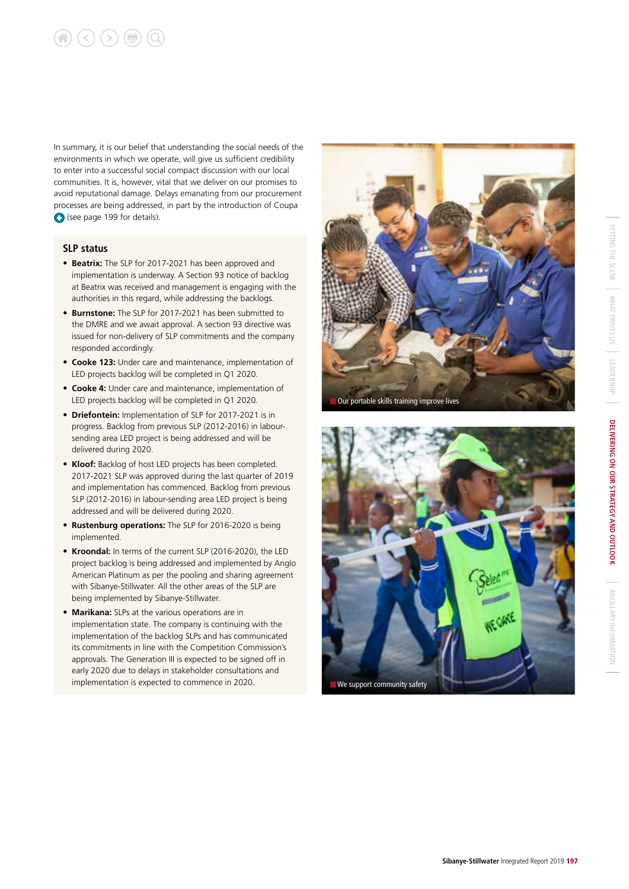# $\textcircled{\textcircled{\tiny{\textcirc}}}$   $\textcircled{\textcircled{\tiny{\textcirc}}}$   $\textcircled{\textcircled{\tiny{\textcirc}}}$

In summary, it is our belief that understanding the social needs of the environments in which we operate, will give us sufficient credibility to enter into a successful social compact discussion with our local communities. It is, however, vital that we deliver on our promises to avoid reputational damage. Delays emanating from our procurement processes are being addressed, in part by the introduction of Coupa (see page 199 for details).

#### **SLP status**

- **Beatrix:** The SLP for 2017-2021 has been approved and implementation is underway. A Section 93 notice of backlog at Beatrix was received and management is engaging with the authorities in this regard, while addressing the backlogs.
- **Burnstone:** The SLP for 2017-2021 has been submitted to the DMRE and we await approval. A section 93 directive was issued for non-delivery of SLP commitments and the company responded accordingly.
- **Cooke 123:** Under care and maintenance, implementation of LED projects backlog will be completed in Q1 2020.
- **Cooke 4:** Under care and maintenance, implementation of LED projects backlog will be completed in Q1 2020.
- **Driefontein:** Implementation of SLP for 2017-2021 is in progress. Backlog from previous SLP (2012-2016) in laboursending area LED project is being addressed and will be delivered during 2020.
- **Kloof:** Backlog of host LED projects has been completed. 2017-2021 SLP was approved during the last quarter of 2019 and implementation has commenced. Backlog from previous SLP (2012-2016) in labour-sending area LED project is being addressed and will be delivered during 2020.
- **Rustenburg operations:** The SLP for 2016-2020 is being implemented.
- **Kroondal:** In terms of the current SLP (2016-2020), the LED project backlog is being addressed and implemented by Anglo American Platinum as per the pooling and sharing agreement with Sibanye-Stillwater. All the other areas of the SLP are being implemented by Sibanye-Stillwater.
- **Marikana:** SLPs at the various operations are in implementation state. The company is continuing with the implementation of the backlog SLPs and has communicated its commitments in line with the Competition Commission's approvals. The Generation III is expected to be signed off in early 2020 due to delays in stakeholder consultations and implementation is expected to commence in 2020.



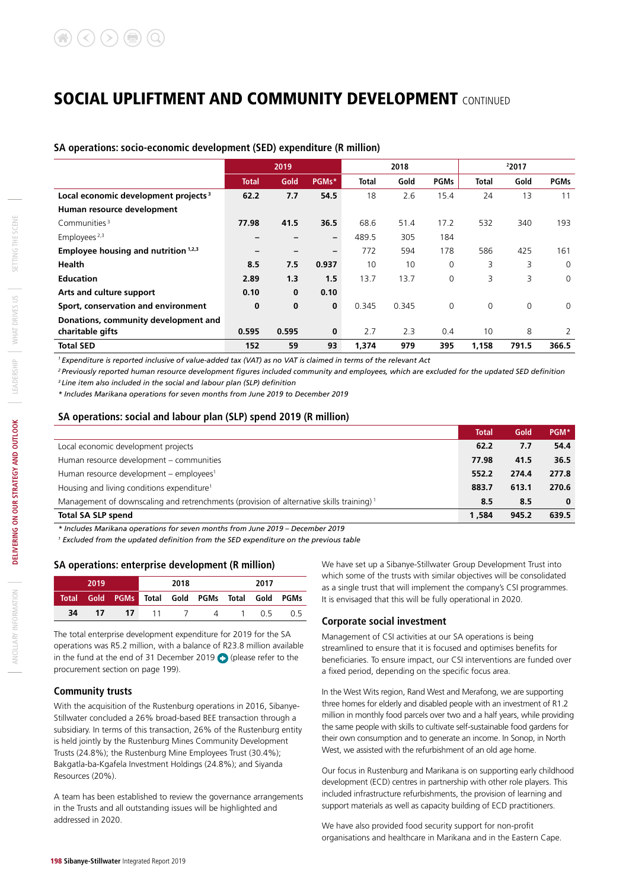#### **SA operations: socio-economic development (SED) expenditure (R million)**

|                                                  | 2019  |          |                          |              | 2018  |             | 22017        |             |             |
|--------------------------------------------------|-------|----------|--------------------------|--------------|-------|-------------|--------------|-------------|-------------|
|                                                  | Total | Gold     | PGMs*                    | <b>Total</b> | Gold  | <b>PGMs</b> | <b>Total</b> | Gold        | <b>PGMs</b> |
| Local economic development projects <sup>3</sup> | 62.2  | 7.7      | 54.5                     | 18           | 2.6   | 15.4        | 24           | 13          | 11          |
| Human resource development                       |       |          |                          |              |       |             |              |             |             |
| Communities <sup>3</sup>                         | 77.98 | 41.5     | 36.5                     | 68.6         | 51.4  | 17.2        | 532          | 340         | 193         |
| Employees <sup>2,3</sup>                         |       |          | $\overline{\phantom{0}}$ | 489.5        | 305   | 184         |              |             |             |
| Employee housing and nutrition <sup>1,2,3</sup>  | -     |          | $\overline{\phantom{a}}$ | 772          | 594   | 178         | 586          | 425         | 161         |
| Health                                           | 8.5   | 7.5      | 0.937                    | 10           | 10    | 0           | 3            | 3           | $\Omega$    |
| <b>Education</b>                                 | 2.89  | 1.3      | 1.5                      | 13.7         | 13.7  | $\Omega$    | 3            | 3           | $\Omega$    |
| Arts and culture support                         | 0.10  | $\bf{0}$ | 0.10                     |              |       |             |              |             |             |
| Sport, conservation and environment              | 0     | $\bf{0}$ | 0                        | 0.345        | 0.345 | $\Omega$    | $\mathbf 0$  | $\mathbf 0$ | $\Omega$    |
| Donations, community development and             |       |          |                          |              |       |             |              |             |             |
| charitable gifts                                 | 0.595 | 0.595    | $\mathbf 0$              | 2.7          | 2.3   | 0.4         | 10           | 8           | 2           |
| <b>Total SED</b>                                 | 152   | 59       | 93                       | 1.374        | 979   | 395         | 1,158        | 791.5       | 366.5       |

*1 Expenditure is reported inclusive of value-added tax (VAT) as no VAT is claimed in terms of the relevant Act*

*2 Previously reported human resource development figures included community and employees, which are excluded for the updated SED definition 3 Line item also included in the social and labour plan (SLP) definition*

*\* Includes Marikana operations for seven months from June 2019 to December 2019*

#### **SA operations: social and labour plan (SLP) spend 2019 (R million)**

|                                                                                                     | <b>Total</b> | Gold  | PGM*  |
|-----------------------------------------------------------------------------------------------------|--------------|-------|-------|
| Local economic development projects                                                                 | 62.2         | 7.7   | 54.4  |
| Human resource development - communities                                                            | 77.98        | 41.5  | 36.5  |
| Human resource development – employees <sup>1</sup>                                                 | 552.2        | 274.4 | 277.8 |
| Housing and living conditions expenditure <sup>1</sup>                                              | 883.7        | 613.1 | 270.6 |
| Management of downscaling and retrenchments (provision of alternative skills training) <sup>1</sup> | 8.5          | 8.5   | 0     |
| <b>Total SA SLP spend</b>                                                                           | 1.584        | 945.2 | 639.5 |

*\* Includes Marikana operations for seven months from June 2019 – December 2019*

*1 Excluded from the updated definition from the SED expenditure on the previous table*

#### **SA operations: enterprise development (R million)**

|    | 2019 |      | 2018 |                                                 | 2017 |  |
|----|------|------|------|-------------------------------------------------|------|--|
|    |      |      |      | Total Gold PGMs Total Gold PGMs Total Gold PGMs |      |  |
| 34 | 17   | - 17 |      | 11 7 4 1 0.5 0.5                                |      |  |

The total enterprise development expenditure for 2019 for the SA operations was R5.2 million, with a balance of R23.8 million available in the fund at the end of 31 December 2019 (please refer to the procurement section on page 199).

#### **Community trusts**

With the acquisition of the Rustenburg operations in 2016, Sibanye-Stillwater concluded a 26% broad-based BEE transaction through a subsidiary. In terms of this transaction, 26% of the Rustenburg entity is held jointly by the Rustenburg Mines Community Development Trusts (24.8%); the Rustenburg Mine Employees Trust (30.4%); Bakgatla-ba-Kgafela Investment Holdings (24.8%); and Siyanda Resources (20%).

A team has been established to review the governance arrangements in the Trusts and all outstanding issues will be highlighted and addressed in 2020.

We have set up a Sibanye-Stillwater Group Development Trust into which some of the trusts with similar objectives will be consolidated as a single trust that will implement the company's CSI programmes. It is envisaged that this will be fully operational in 2020.

#### **Corporate social investment**

Management of CSI activities at our SA operations is being streamlined to ensure that it is focused and optimises benefits for beneficiaries. To ensure impact, our CSI interventions are funded over a fixed period, depending on the specific focus area.

In the West Wits region, Rand West and Merafong, we are supporting three homes for elderly and disabled people with an investment of R1.2 million in monthly food parcels over two and a half years, while providing the same people with skills to cultivate self-sustainable food gardens for their own consumption and to generate an income. In Sonop, in North West, we assisted with the refurbishment of an old age home.

Our focus in Rustenburg and Marikana is on supporting early childhood development (ECD) centres in partnership with other role players. This included infrastructure refurbishments, the provision of learning and support materials as well as capacity building of ECD practitioners.

We have also provided food security support for non-profit organisations and healthcare in Marikana and in the Eastern Cape.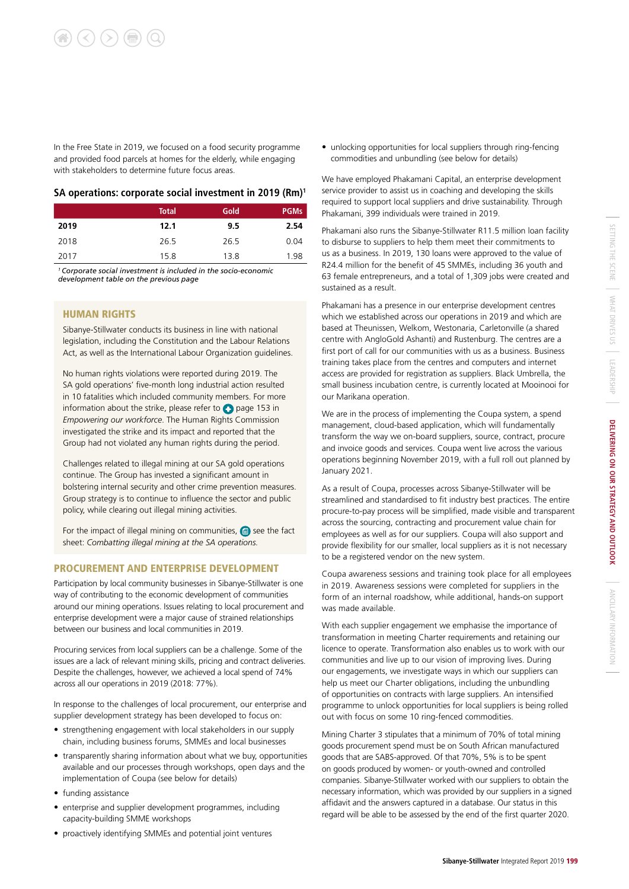In the Free State in 2019, we focused on a food security programme and provided food parcels at homes for the elderly, while engaging with stakeholders to determine future focus areas.

#### **SA operations: corporate social investment in 2019 (Rm)1**

|      | <b>Total</b> | Gold | <b>PGMs</b> |
|------|--------------|------|-------------|
| 2019 | 12.1         | 9.5  | 2.54        |
| 2018 | 26.5         | 26.5 | 0.04        |
| 2017 | 15.8         | 13.8 | 1.98        |

*1 Corporate social investment is included in the socio-economic development table on the previous page*

#### HUMAN RIGHTS

Sibanye-Stillwater conducts its business in line with national legislation, including the Constitution and the Labour Relations Act, as well as the International Labour Organization guidelines.

No human rights violations were reported during 2019. The SA gold operations' five-month long industrial action resulted in 10 fatalities which included community members. For more information about the strike, please refer to  $\bullet$  page 153 in *Empowering our workforce*. The Human Rights Commission investigated the strike and its impact and reported that the Group had not violated any human rights during the period.

Challenges related to illegal mining at our SA gold operations continue. The Group has invested a significant amount in bolstering internal security and other crime prevention measures. Group strategy is to continue to influence the sector and public policy, while clearing out illegal mining activities.

For the impact of illegal mining on communities,  $\blacksquare$  see the fact sheet: *Combatting illegal mining at the SA operations.*

#### PROCUREMENT AND ENTERPRISE DEVELOPMENT

Participation by local community businesses in Sibanye-Stillwater is one way of contributing to the economic development of communities around our mining operations. Issues relating to local procurement and enterprise development were a major cause of strained relationships between our business and local communities in 2019.

Procuring services from local suppliers can be a challenge. Some of the issues are a lack of relevant mining skills, pricing and contract deliveries. Despite the challenges, however, we achieved a local spend of 74% across all our operations in 2019 (2018: 77%).

In response to the challenges of local procurement, our enterprise and supplier development strategy has been developed to focus on:

- strengthening engagement with local stakeholders in our supply chain, including business forums, SMMEs and local businesses
- transparently sharing information about what we buy, opportunities available and our processes through workshops, open days and the implementation of Coupa (see below for details)
- funding assistance
- enterprise and supplier development programmes, including capacity-building SMME workshops
- proactively identifying SMMEs and potential joint ventures

• unlocking opportunities for local suppliers through ring-fencing commodities and unbundling (see below for details)

We have employed Phakamani Capital, an enterprise development service provider to assist us in coaching and developing the skills required to support local suppliers and drive sustainability. Through Phakamani, 399 individuals were trained in 2019.

Phakamani also runs the Sibanye-Stillwater R11.5 million loan facility to disburse to suppliers to help them meet their commitments to us as a business. In 2019, 130 loans were approved to the value of R24.4 million for the benefit of 45 SMMEs, including 36 youth and 63 female entrepreneurs, and a total of 1,309 jobs were created and sustained as a result.

Phakamani has a presence in our enterprise development centres which we established across our operations in 2019 and which are based at Theunissen, Welkom, Westonaria, Carletonville (a shared centre with AngloGold Ashanti) and Rustenburg. The centres are a first port of call for our communities with us as a business. Business training takes place from the centres and computers and internet access are provided for registration as suppliers. Black Umbrella, the small business incubation centre, is currently located at Mooinooi for our Marikana operation.

We are in the process of implementing the Coupa system, a spend management, cloud-based application, which will fundamentally transform the way we on-board suppliers, source, contract, procure and invoice goods and services. Coupa went live across the various operations beginning November 2019, with a full roll out planned by January 2021.

As a result of Coupa, processes across Sibanye-Stillwater will be streamlined and standardised to fit industry best practices. The entire procure-to-pay process will be simplified, made visible and transparent across the sourcing, contracting and procurement value chain for employees as well as for our suppliers. Coupa will also support and provide flexibility for our smaller, local suppliers as it is not necessary to be a registered vendor on the new system.

Coupa awareness sessions and training took place for all employees in 2019. Awareness sessions were completed for suppliers in the form of an internal roadshow, while additional, hands-on support was made available.

With each supplier engagement we emphasise the importance of transformation in meeting Charter requirements and retaining our licence to operate. Transformation also enables us to work with our communities and live up to our vision of improving lives. During our engagements, we investigate ways in which our suppliers can help us meet our Charter obligations, including the unbundling of opportunities on contracts with large suppliers. An intensified programme to unlock opportunities for local suppliers is being rolled out with focus on some 10 ring-fenced commodities.

Mining Charter 3 stipulates that a minimum of 70% of total mining goods procurement spend must be on South African manufactured goods that are SABS-approved. Of that 70%, 5% is to be spent on goods produced by women- or youth-owned and controlled companies. Sibanye-Stillwater worked with our suppliers to obtain the necessary information, which was provided by our suppliers in a signed affidavit and the answers captured in a database. Our status in this regard will be able to be assessed by the end of the first quarter 2020.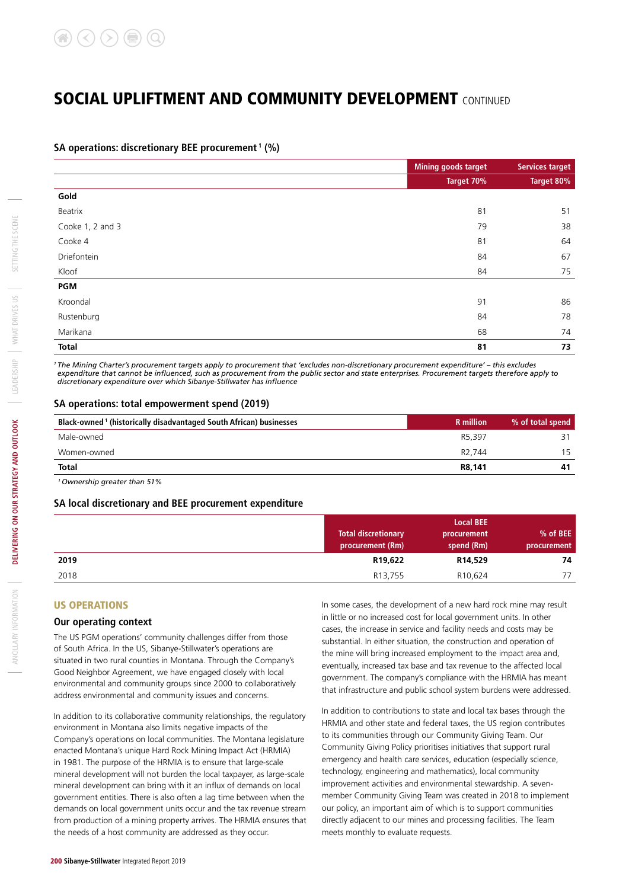#### **SA operations: discretionary BEE procurement 1 (%)**

|                  | <b>Mining goods target</b> | <b>Services target</b> |
|------------------|----------------------------|------------------------|
|                  | Target 70%                 | Target 80%             |
| Gold             |                            |                        |
| Beatrix          | 81                         | 51                     |
| Cooke 1, 2 and 3 | 79                         | 38                     |
| Cooke 4          | 81                         | 64                     |
| Driefontein      | 84                         | 67                     |
| Kloof            | 84                         | 75                     |
| PGM              |                            |                        |
| Kroondal         | 91                         | 86                     |
| Rustenburg       | 84                         | 78                     |
| Marikana         | 68                         | 74                     |
| <b>Total</b>     | 81                         | 73                     |

*1 The Mining Charter's procurement targets apply to procurement that 'excludes non-discretionary procurement expenditure' – this excludes expenditure that cannot be influenced, such as procurement from the public sector and state enterprises. Procurement targets therefore apply to discretionary expenditure over which Sibanye-Stillwater has influence*

#### **SA operations: total empowerment spend (2019)**

| Black-owned <sup>1</sup> (historically disadvantaged South African) businesses | <b>R</b> million   | % of total spend |
|--------------------------------------------------------------------------------|--------------------|------------------|
| Male-owned                                                                     | R5.397             |                  |
| Women-owned                                                                    | R <sub>2.744</sub> | 15               |
| <b>Total</b>                                                                   | R8,141             | 41               |

*1 Ownership greater than 51%*

#### **SA local discretionary and BEE procurement expenditure**

|      | <b>Total discretionary</b><br>procurement (Rm) | <b>Local BEE</b><br>procurement<br>spend (Rm) | % of BEE<br>procurement |
|------|------------------------------------------------|-----------------------------------------------|-------------------------|
| 2019 | R19,622                                        | R14,529                                       | 74                      |
| 2018 | R <sub>13</sub> ,755                           | R10,624                                       | 77                      |

#### US OPERATIONS

#### **Our operating context**

The US PGM operations' community challenges differ from those of South Africa. In the US, Sibanye-Stillwater's operations are situated in two rural counties in Montana. Through the Company's Good Neighbor Agreement, we have engaged closely with local environmental and community groups since 2000 to collaboratively address environmental and community issues and concerns.

In addition to its collaborative community relationships, the regulatory environment in Montana also limits negative impacts of the Company's operations on local communities. The Montana legislature enacted Montana's unique Hard Rock Mining Impact Act (HRMIA) in 1981. The purpose of the HRMIA is to ensure that large-scale mineral development will not burden the local taxpayer, as large-scale mineral development can bring with it an influx of demands on local government entities. There is also often a lag time between when the demands on local government units occur and the tax revenue stream from production of a mining property arrives. The HRMIA ensures that the needs of a host community are addressed as they occur.

In some cases, the development of a new hard rock mine may result in little or no increased cost for local government units. In other cases, the increase in service and facility needs and costs may be substantial. In either situation, the construction and operation of the mine will bring increased employment to the impact area and, eventually, increased tax base and tax revenue to the affected local government. The company's compliance with the HRMIA has meant that infrastructure and public school system burdens were addressed.

In addition to contributions to state and local tax bases through the HRMIA and other state and federal taxes, the US region contributes to its communities through our Community Giving Team. Our Community Giving Policy prioritises initiatives that support rural emergency and health care services, education (especially science, technology, engineering and mathematics), local community improvement activities and environmental stewardship. A sevenmember Community Giving Team was created in 2018 to implement our policy, an important aim of which is to support communities directly adjacent to our mines and processing facilities. The Team meets monthly to evaluate requests.

*ANCILLARY INFORMATION*